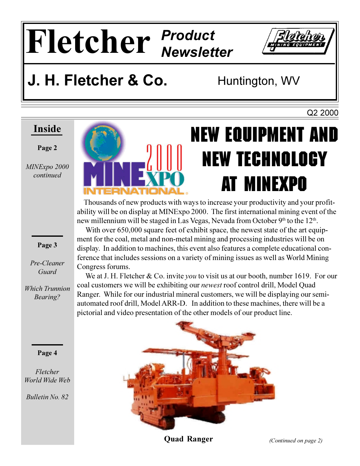# Fletcher Product



### J. H. Fletcher & Co.

Huntington, WV

Q2 2000

#### Inside

#### Page 2

MINExpo 2000 continued

Page 3

Pre-Cleaner

Guard

**Which Trunnion** 

Bearing?

Page 4

Fletcher World Wide Web

**Bulletin No. 82** 



## **NEW EQUIPMENT AND NEW TECHNOLOGY** AT MINEXPO

Thousands of new products with ways to increase your productivity and your profitability will be on display at MINExpo 2000. The first international mining event of the new millennium will be staged in Las Vegas, Nevada from October 9th to the 12th.

With over 650,000 square feet of exhibit space, the newest state of the art equipment for the coal, metal and non-metal mining and processing industries will be on display. In addition to machines, this event also features a complete educational conference that includes sessions on a variety of mining issues as well as World Mining Congress forums.

We at J. H. Fletcher & Co. invite you to visit us at our booth, number 1619. For our coal customers we will be exhibiting our *newest* roof control drill, Model Ouad Ranger. While for our industrial mineral customers, we will be displaying our semiautomated roof drill, Model ARR-D. In addition to these machines, there will be a pictorial and video presentation of the other models of our product line.



**Ouad Ranger**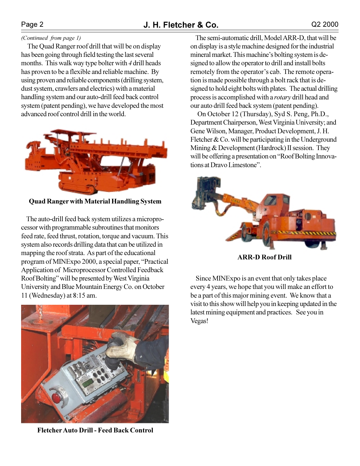#### (Continued from page 1)

The Quad Ranger roof drill that will be on display has been going through field testing the last several months. This walk way type bolter with 4 drill heads has proven to be a flexible and reliable machine. By using proven and reliable components (drilling system, dust system, crawlers and electrics) with a material handling system and our auto-drill feed back control system (patent pending), we have developed the most advanced roof control drill in the world.



**Ouad Ranger with Material Handling System** 

The auto-drill feed back system utilizes a microprocessor with programmable subroutines that monitors feed rate, feed thrust, rotation, torque and vacuum. This system also records drilling data that can be utilized in mapping the roof strata. As part of the educational program of MINExpo 2000, a special paper, "Practical Application of Microprocessor Controlled Feedback Roof Bolting" will be presented by West Virginia University and Blue Mountain Energy Co. on October 11 (Wednesday) at  $8:15$  am.



**Fletcher Auto Drill - Feed Back Control** 

The semi-automatic drill, Model ARR-D, that will be on display is a style machine designed for the industrial mineral market. This machine's bolting system is designed to allow the operator to drill and install bolts remotely from the operator's cab. The remote operation is made possible through a bolt rack that is designed to hold eight bolts with plates. The actual drilling process is accomplished with a rotary drill head and our auto drill feed back system (patent pending).

On October 12 (Thursday), Syd S. Peng, Ph.D., Department Chairperson, West Virginia University; and Gene Wilson, Manager, Product Development, J. H. Fletcher  $& Co.$  will be participating in the Underground Mining & Development (Hardrock) II session. They will be offering a presentation on "Roof Bolting Innovations at Dravo Limestone".



**ARR-D Roof Drill** 

Since MINExpo is an event that only takes place every 4 years, we hope that you will make an effort to be a part of this major mining event. We know that a visit to this show will help you in keeping updated in the latest mining equipment and practices. See you in Vegas!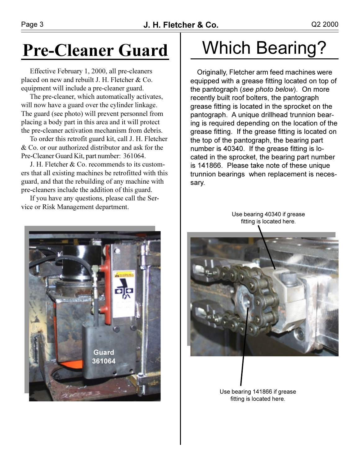### **Pre-Cleaner Guard**

Effective February 1, 2000, all pre-cleaners placed on new and rebuilt J. H. Fletcher & Co. equipment will include a pre-cleaner guard.

The pre-cleaner, which automatically activates, will now have a guard over the cylinder linkage. The guard (see photo) will prevent personnel from placing a body part in this area and it will protect the pre-cleaner activation mechanism from debris.

To order this retrofit guard kit, call J. H. Fletcher  $\&$  Co. or our authorized distributor and ask for the Pre-Cleaner Guard Kit, part number: 361064.

J. H. Fletcher & Co. recommends to its customers that all existing machines be retrofitted with this guard, and that the rebuilding of any machine with pre-cleaners include the addition of this guard.

If you have any questions, please call the Service or Risk Management department.



### **Which Bearing?**

Originally, Fletcher arm feed machines were equipped with a grease fitting located on top of the pantograph (see photo below). On more recently built roof bolters, the pantograph grease fitting is located in the sprocket on the pantograph. A unique drillhead trunnion bearing is required depending on the location of the grease fitting. If the grease fitting is located on the top of the pantograph, the bearing part number is 40340. If the grease fitting is located in the sprocket, the bearing part number is 141866. Please take note of these unique trunnion bearings when replacement is necessary.

> Use bearing 40340 if grease fitting is located here.



Use bearing 141866 if grease fitting is located here.